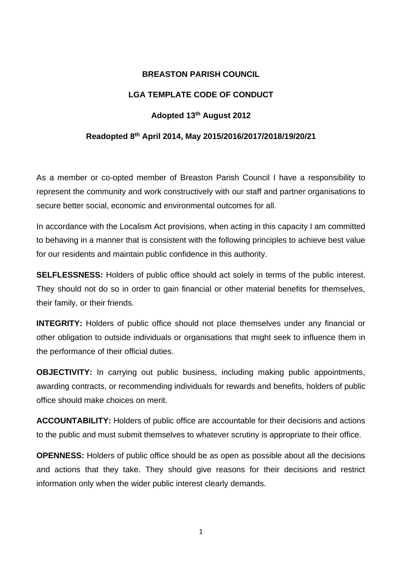## **BREASTON PARISH COUNCIL**

# **LGA TEMPLATE CODE OF CONDUCT**

## **Adopted 13th August 2012**

### **Readopted 8th April 2014, May 2015/2016/2017/2018/19/20/21**

As a member or co-opted member of Breaston Parish Council I have a responsibility to represent the community and work constructively with our staff and partner organisations to secure better social, economic and environmental outcomes for all.

In accordance with the Localism Act provisions, when acting in this capacity I am committed to behaving in a manner that is consistent with the following principles to achieve best value for our residents and maintain public confidence in this authority.

**SELFLESSNESS:** Holders of public office should act solely in terms of the public interest. They should not do so in order to gain financial or other material benefits for themselves, their family, or their friends.

**INTEGRITY:** Holders of public office should not place themselves under any financial or other obligation to outside individuals or organisations that might seek to influence them in the performance of their official duties.

**OBJECTIVITY:** In carrying out public business, including making public appointments, awarding contracts, or recommending individuals for rewards and benefits, holders of public office should make choices on merit.

**ACCOUNTABILITY:** Holders of public office are accountable for their decisions and actions to the public and must submit themselves to whatever scrutiny is appropriate to their office.

**OPENNESS:** Holders of public office should be as open as possible about all the decisions and actions that they take. They should give reasons for their decisions and restrict information only when the wider public interest clearly demands.

1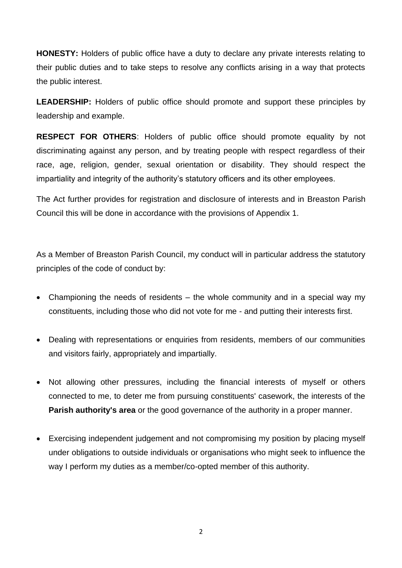**HONESTY:** Holders of public office have a duty to declare any private interests relating to their public duties and to take steps to resolve any conflicts arising in a way that protects the public interest.

**LEADERSHIP:** Holders of public office should promote and support these principles by leadership and example.

**RESPECT FOR OTHERS**: Holders of public office should promote equality by not discriminating against any person, and by treating people with respect regardless of their race, age, religion, gender, sexual orientation or disability. They should respect the impartiality and integrity of the authority's statutory officers and its other employees.

The Act further provides for registration and disclosure of interests and in Breaston Parish Council this will be done in accordance with the provisions of Appendix 1.

As a Member of Breaston Parish Council, my conduct will in particular address the statutory principles of the code of conduct by:

- Championing the needs of residents the whole community and in a special way my constituents, including those who did not vote for me - and putting their interests first.
- Dealing with representations or enquiries from residents, members of our communities and visitors fairly, appropriately and impartially.
- Not allowing other pressures, including the financial interests of myself or others connected to me, to deter me from pursuing constituents' casework, the interests of the **Parish authority's area** or the good governance of the authority in a proper manner.
- Exercising independent judgement and not compromising my position by placing myself under obligations to outside individuals or organisations who might seek to influence the way I perform my duties as a member/co-opted member of this authority.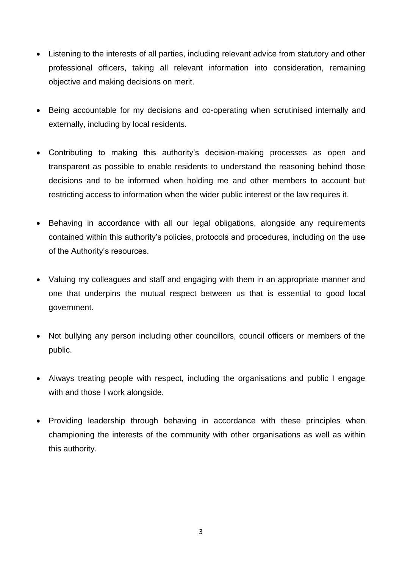- Listening to the interests of all parties, including relevant advice from statutory and other professional officers, taking all relevant information into consideration, remaining objective and making decisions on merit.
- Being accountable for my decisions and co-operating when scrutinised internally and externally, including by local residents.
- Contributing to making this authority's decision-making processes as open and transparent as possible to enable residents to understand the reasoning behind those decisions and to be informed when holding me and other members to account but restricting access to information when the wider public interest or the law requires it.
- Behaving in accordance with all our legal obligations, alongside any requirements contained within this authority's policies, protocols and procedures, including on the use of the Authority's resources.
- Valuing my colleagues and staff and engaging with them in an appropriate manner and one that underpins the mutual respect between us that is essential to good local government.
- Not bullying any person including other councillors, council officers or members of the public.
- Always treating people with respect, including the organisations and public I engage with and those I work alongside.
- Providing leadership through behaving in accordance with these principles when championing the interests of the community with other organisations as well as within this authority.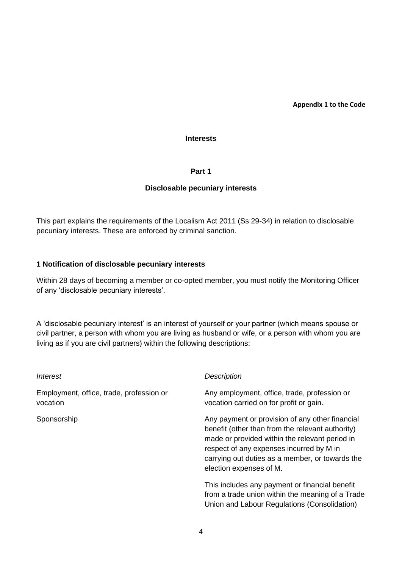**Appendix 1 to the Code**

#### **Interests**

**Part 1** 

### **Disclosable pecuniary interests**

This part explains the requirements of the Localism Act 2011 (Ss 29-34) in relation to disclosable pecuniary interests. These are enforced by criminal sanction.

### **1 Notification of disclosable pecuniary interests**

Within 28 days of becoming a member or co-opted member, you must notify the Monitoring Officer of any 'disclosable pecuniary interests'.

A 'disclosable pecuniary interest' is an interest of yourself or your partner (which means spouse or civil partner, a person with whom you are living as husband or wife, or a person with whom you are living as if you are civil partners) within the following descriptions:

| Interest                                             | <b>Description</b>                                                                                                                                                                                                                                                              |
|------------------------------------------------------|---------------------------------------------------------------------------------------------------------------------------------------------------------------------------------------------------------------------------------------------------------------------------------|
| Employment, office, trade, profession or<br>vocation | Any employment, office, trade, profession or<br>vocation carried on for profit or gain.                                                                                                                                                                                         |
| Sponsorship                                          | Any payment or provision of any other financial<br>benefit (other than from the relevant authority)<br>made or provided within the relevant period in<br>respect of any expenses incurred by M in<br>carrying out duties as a member, or towards the<br>election expenses of M. |
|                                                      | This includes any payment or financial benefit<br>from a trade union within the meaning of a Trade<br>Union and Labour Regulations (Consolidation)                                                                                                                              |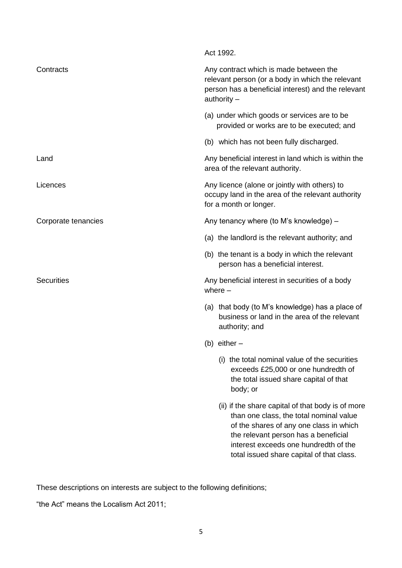| Act 1992.                                                                                                                                                                                                                                                             |
|-----------------------------------------------------------------------------------------------------------------------------------------------------------------------------------------------------------------------------------------------------------------------|
| Any contract which is made between the<br>relevant person (or a body in which the relevant<br>person has a beneficial interest) and the relevant<br>authority $-$                                                                                                     |
| (a) under which goods or services are to be<br>provided or works are to be executed; and                                                                                                                                                                              |
| (b) which has not been fully discharged.                                                                                                                                                                                                                              |
| Any beneficial interest in land which is within the<br>area of the relevant authority.                                                                                                                                                                                |
| Any licence (alone or jointly with others) to<br>occupy land in the area of the relevant authority<br>for a month or longer.                                                                                                                                          |
| Any tenancy where (to M's knowledge) -                                                                                                                                                                                                                                |
| (a) the landlord is the relevant authority; and                                                                                                                                                                                                                       |
| (b) the tenant is a body in which the relevant<br>person has a beneficial interest.                                                                                                                                                                                   |
| Any beneficial interest in securities of a body<br>where $-$                                                                                                                                                                                                          |
| (a) that body (to M's knowledge) has a place of<br>business or land in the area of the relevant<br>authority; and                                                                                                                                                     |
| (b) either $-$                                                                                                                                                                                                                                                        |
| the total nominal value of the securities<br>(1)<br>exceeds £25,000 or one hundredth of<br>the total issued share capital of that<br>body; or                                                                                                                         |
| (ii) if the share capital of that body is of more<br>than one class, the total nominal value<br>of the shares of any one class in which<br>the relevant person has a beneficial<br>interest exceeds one hundredth of the<br>total issued share capital of that class. |
|                                                                                                                                                                                                                                                                       |

These descriptions on interests are subject to the following definitions;

"the Act" means the Localism Act 2011;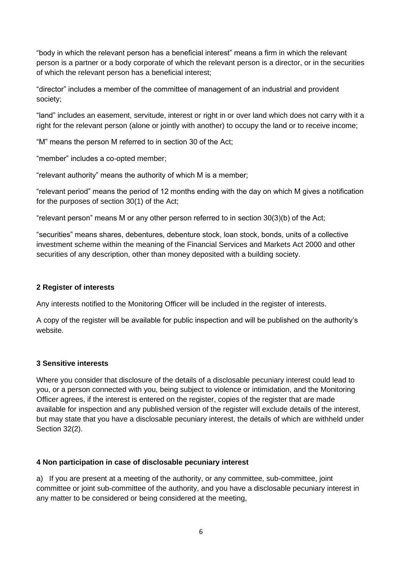"body in which the relevant person has a beneficial interest" means a firm in which the relevant person is a partner or a body corporate of which the relevant person is a director, or in the securities of which the relevant person has a beneficial interest;

"director" includes a member of the committee of management of an industrial and provident society;

"land" includes an easement, servitude, interest or right in or over land which does not carry with it a right for the relevant person (alone or jointly with another) to occupy the land or to receive income;

"M" means the person M referred to in section 30 of the Act;

"member" includes a co-opted member;

"relevant authority" means the authority of which M is a member;

"relevant period" means the period of 12 months ending with the day on which M gives a notification for the purposes of section 30(1) of the Act;

"relevant person" means M or any other person referred to in section 30(3)(b) of the Act;

"securities" means shares, debentures, debenture stock, loan stock, bonds, units of a collective investment scheme within the meaning of the Financial Services and Markets Act 2000 and other securities of any description, other than money deposited with a building society.

## **2 Register of interests**

Any interests notified to the Monitoring Officer will be included in the register of interests.

A copy of the register will be available for public inspection and will be published on the authority's website.

## **3 Sensitive interests**

Where you consider that disclosure of the details of a disclosable pecuniary interest could lead to you, or a person connected with you, being subject to violence or intimidation, and the Monitoring Officer agrees, if the interest is entered on the register, copies of the register that are made available for inspection and any published version of the register will exclude details of the interest, but may state that you have a disclosable pecuniary interest, the details of which are withheld under Section 32(2).

## **4 Non participation in case of disclosable pecuniary interest**

a) If you are present at a meeting of the authority, or any committee, sub-committee, joint committee or joint sub-committee of the authority, and you have a disclosable pecuniary interest in any matter to be considered or being considered at the meeting,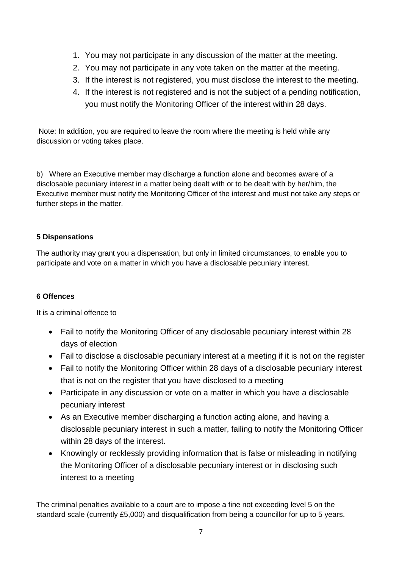- 1. You may not participate in any discussion of the matter at the meeting.
- 2. You may not participate in any vote taken on the matter at the meeting.
- 3. If the interest is not registered, you must disclose the interest to the meeting.
- 4. If the interest is not registered and is not the subject of a pending notification, you must notify the Monitoring Officer of the interest within 28 days.

Note: In addition, you are required to leave the room where the meeting is held while any discussion or voting takes place.

b) Where an Executive member may discharge a function alone and becomes aware of a disclosable pecuniary interest in a matter being dealt with or to be dealt with by her/him, the Executive member must notify the Monitoring Officer of the interest and must not take any steps or further steps in the matter.

# **5 Dispensations**

The authority may grant you a dispensation, but only in limited circumstances, to enable you to participate and vote on a matter in which you have a disclosable pecuniary interest.

## **6 Offences**

It is a criminal offence to

- Fail to notify the Monitoring Officer of any disclosable pecuniary interest within 28 days of election
- Fail to disclose a disclosable pecuniary interest at a meeting if it is not on the register
- Fail to notify the Monitoring Officer within 28 days of a disclosable pecuniary interest that is not on the register that you have disclosed to a meeting
- Participate in any discussion or vote on a matter in which you have a disclosable pecuniary interest
- As an Executive member discharging a function acting alone, and having a disclosable pecuniary interest in such a matter, failing to notify the Monitoring Officer within 28 days of the interest.
- Knowingly or recklessly providing information that is false or misleading in notifying the Monitoring Officer of a disclosable pecuniary interest or in disclosing such interest to a meeting

The criminal penalties available to a court are to impose a fine not exceeding level 5 on the standard scale (currently £5,000) and disqualification from being a councillor for up to 5 years.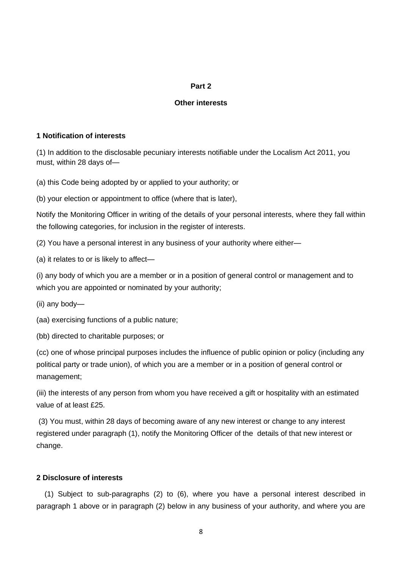### **Part 2**

### **Other interests**

### **1 Notification of interests**

(1) In addition to the disclosable pecuniary interests notifiable under the Localism Act 2011, you must, within 28 days of—

(a) this Code being adopted by or applied to your authority; or

(b) your election or appointment to office (where that is later),

Notify the Monitoring Officer in writing of the details of your personal interests, where they fall within the following categories, for inclusion in the register of interests.

(2) You have a personal interest in any business of your authority where either—

(a) it relates to or is likely to affect—

(i) any body of which you are a member or in a position of general control or management and to which you are appointed or nominated by your authority;

(ii) any body—

(aa) exercising functions of a public nature;

(bb) directed to charitable purposes; or

(cc) one of whose principal purposes includes the influence of public opinion or policy (including any political party or trade union), of which you are a member or in a position of general control or management;

(iii) the interests of any person from whom you have received a gift or hospitality with an estimated value of at least £25.

(3) You must, within 28 days of becoming aware of any new interest or change to any interest registered under paragraph (1), notify the Monitoring Officer of the details of that new interest or change.

## **2 Disclosure of interests**

(1) Subject to sub-paragraphs (2) to (6), where you have a personal interest described in paragraph 1 above or in paragraph (2) below in any business of your authority, and where you are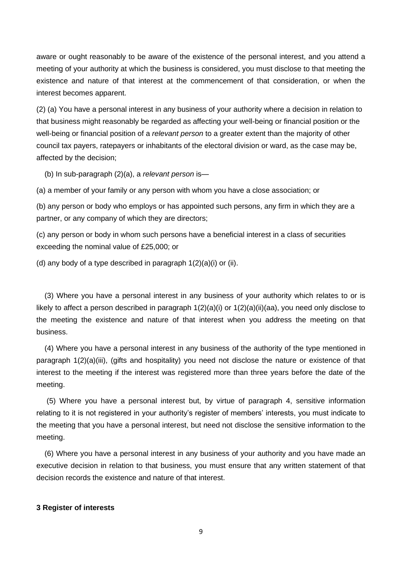aware or ought reasonably to be aware of the existence of the personal interest, and you attend a meeting of your authority at which the business is considered, you must disclose to that meeting the existence and nature of that interest at the commencement of that consideration, or when the interest becomes apparent.

(2) (a) You have a personal interest in any business of your authority where a decision in relation to that business might reasonably be regarded as affecting your well-being or financial position or the well-being or financial position of a *relevant person* to a greater extent than the majority of other council tax payers, ratepayers or inhabitants of the electoral division or ward, as the case may be, affected by the decision;

(b) In sub-paragraph (2)(a), a *relevant person* is—

(a) a member of your family or any person with whom you have a close association; or

(b) any person or body who employs or has appointed such persons, any firm in which they are a partner, or any company of which they are directors;

(c) any person or body in whom such persons have a beneficial interest in a class of securities exceeding the nominal value of £25,000; or

(d) any body of a type described in paragraph  $1(2)(a)(i)$  or  $(ii)$ .

(3) Where you have a personal interest in any business of your authority which relates to or is likely to affect a person described in paragraph 1(2)(a)(i) or 1(2)(a)(ii)(aa), you need only disclose to the meeting the existence and nature of that interest when you address the meeting on that business.

(4) Where you have a personal interest in any business of the authority of the type mentioned in paragraph 1(2)(a)(iii), (gifts and hospitality) you need not disclose the nature or existence of that interest to the meeting if the interest was registered more than three years before the date of the meeting.

(5) Where you have a personal interest but, by virtue of paragraph 4, sensitive information relating to it is not registered in your authority's register of members' interests, you must indicate to the meeting that you have a personal interest, but need not disclose the sensitive information to the meeting.

(6) Where you have a personal interest in any business of your authority and you have made an executive decision in relation to that business, you must ensure that any written statement of that decision records the existence and nature of that interest.

#### **3 Register of interests**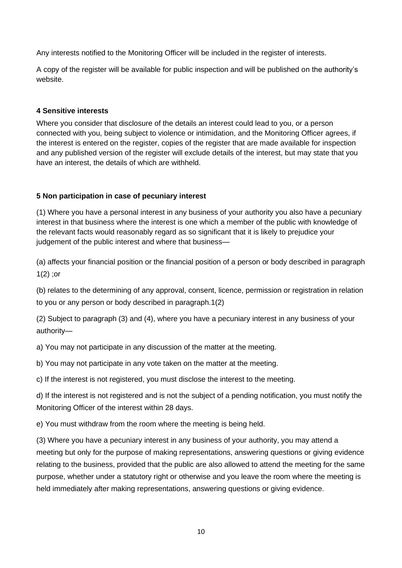Any interests notified to the Monitoring Officer will be included in the register of interests.

A copy of the register will be available for public inspection and will be published on the authority's website.

## **4 Sensitive interests**

Where you consider that disclosure of the details an interest could lead to you, or a person connected with you, being subject to violence or intimidation, and the Monitoring Officer agrees, if the interest is entered on the register, copies of the register that are made available for inspection and any published version of the register will exclude details of the interest, but may state that you have an interest, the details of which are withheld.

## **5 Non participation in case of pecuniary interest**

(1) Where you have a personal interest in any business of your authority you also have a pecuniary interest in that business where the interest is one which a member of the public with knowledge of the relevant facts would reasonably regard as so significant that it is likely to prejudice your judgement of the public interest and where that business—

(a) affects your financial position or the financial position of a person or body described in paragraph  $1(2)$ ; or

(b) relates to the determining of any approval, consent, licence, permission or registration in relation to you or any person or body described in paragraph.1(2)

(2) Subject to paragraph (3) and (4), where you have a pecuniary interest in any business of your authority—

a) You may not participate in any discussion of the matter at the meeting.

b) You may not participate in any vote taken on the matter at the meeting.

c) If the interest is not registered, you must disclose the interest to the meeting.

d) If the interest is not registered and is not the subject of a pending notification, you must notify the Monitoring Officer of the interest within 28 days.

e) You must withdraw from the room where the meeting is being held.

(3) Where you have a pecuniary interest in any business of your authority, you may attend a meeting but only for the purpose of making representations, answering questions or giving evidence relating to the business, provided that the public are also allowed to attend the meeting for the same purpose, whether under a statutory right or otherwise and you leave the room where the meeting is held immediately after making representations, answering questions or giving evidence.